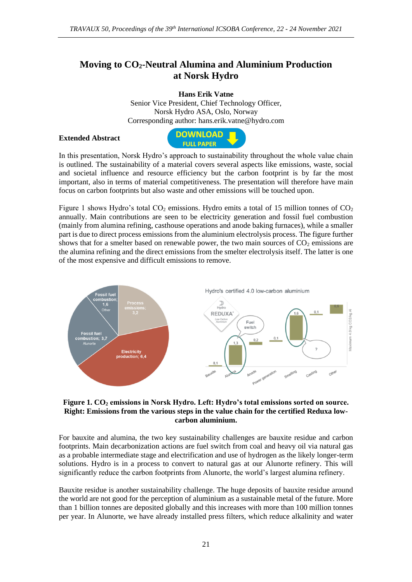## **Moving to CO2-Neutral Alumina and Aluminium Production at Norsk Hydro**

**Hans Erik Vatne**

Senior Vice President, Chief Technology Officer, Norsk Hydro ASA, Oslo, Norway Corresponding author: hans.erik.vatne@hydro.com

## **Extended Abstract**



In this presentation, Norsk Hydro's approach to sustainability throughout the whole value chain is outlined. The sustainability of a material covers several aspects like emissions, waste, social and societal influence and resource efficiency but the carbon footprint is by far the most important, also in terms of material competitiveness. The presentation will therefore have main focus on carbon footprints but also waste and other emissions will be touched upon.

Figure 1 shows Hydro's total  $CO_2$  emissions. Hydro emits a total of 15 million tonnes of  $CO_2$ annually. Main contributions are seen to be electricity generation and fossil fuel combustion (mainly from alumina refining, casthouse operations and anode baking furnaces), while a smaller part is due to direct process emissions from the aluminium electrolysis process. The figure further shows that for a smelter based on renewable power, the two main sources of  $CO<sub>2</sub>$  emissions are the alumina refining and the direct emissions from the smelter electrolysis itself. The latter is one of the most expensive and difficult emissions to remove.



## **Figure 1. CO<sup>2</sup> emissions in Norsk Hydro. Left: Hydro's total emissions sorted on source. Right: Emissions from the various steps in the value chain for the certified Reduxa lowcarbon aluminium.**

For bauxite and alumina, the two key sustainability challenges are bauxite residue and carbon footprints. Main decarbonization actions are fuel switch from coal and heavy oil via natural gas as a probable intermediate stage and electrification and use of hydrogen as the likely longer-term solutions. Hydro is in a process to convert to natural gas at our Alunorte refinery. This will significantly reduce the carbon footprints from Alunorte, the world's largest alumina refinery.

Bauxite residue is another sustainability challenge. The huge deposits of bauxite residue around the world are not good for the perception of aluminium as a sustainable metal of the future. More than 1 billion tonnes are deposited globally and this increases with more than 100 million tonnes per year. In Alunorte, we have already installed press filters, which reduce alkalinity and water